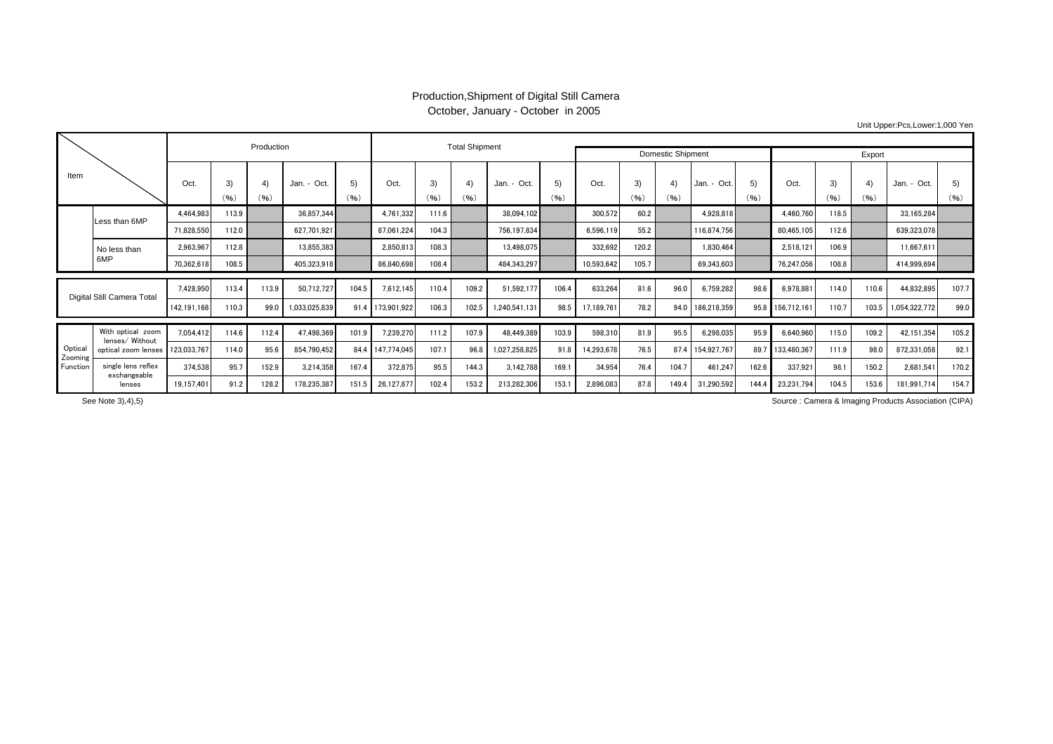## Production,Shipment of Digital Still Camera October, January - October in 2005

Unit Upper:Pcs,Lower:1,000 Yen

|                                |                                      |             |                    | Production |               |            |                  | <b>Total Shipment</b> |            |               |                          |            |            |            |                  |            |             |            |            |               |            |
|--------------------------------|--------------------------------------|-------------|--------------------|------------|---------------|------------|------------------|-----------------------|------------|---------------|--------------------------|------------|------------|------------|------------------|------------|-------------|------------|------------|---------------|------------|
|                                |                                      |             |                    |            |               |            |                  |                       |            |               | <b>Domestic Shipment</b> |            |            | Export     |                  |            |             |            |            |               |            |
| Item                           |                                      |             | 3)<br>(96)         | 4)<br>(96) | Jan. - Oct.   | 5)<br>(96) | Oct.             | 3)<br>(96)            | 4)<br>(96) | Jan. - Oct.   | (5)<br>(96)              | Oct.       | 3)<br>(96) | 4)<br>(96) | Jan. - Oct.      | 5)<br>(96) | Oct.        | 3)<br>(96) | 4)<br>(96) | Jan. - Oct.   | 5)<br>(96) |
|                                | Less than 6MP                        | 4.464.983   | 113.9              |            | 36.857.344    |            | 4,761,332        | 111.6                 |            | 38,094,102    |                          | 300,572    | 60.2       |            | 4,928,818        |            | 4,460,760   | 118.5      |            | 33,165,284    |            |
|                                |                                      | 71,828,550  | 112.0              |            | 627.701.921   |            | 87,061,224       | 104.3                 |            | 756,197,834   |                          | 6,596,119  | 55.2       |            | 116.874.756      |            | 80,465,105  | 112.6      |            | 639,323,078   |            |
|                                | No less than<br>6MP                  | 2.963.967   | 112.8              |            | 13.855.383    |            | 2,850,813        | 108.3                 |            | 13,498,075    |                          | 332.692    | 120.2      |            | 1.830.464        |            | 2.518.121   | 106.9      |            | 11.667.611    |            |
|                                |                                      | 70,362,618  | 108.5              |            | 405,323,918   |            | 86,840,698       | 108.4                 |            | 484,343,297   |                          | 10,593,642 | 105.7      |            | 69,343,603       |            | 76,247,056  | 108.8      |            | 414,999,694   |            |
|                                | Digital Still Camera Total           |             | 113.4<br>7,428,950 | 113.9      | 50,712,727    | 104.5      | 7,612,145        | 110.4                 | 109.2      | 51,592,177    | 106.4                    | 633,264    | 81.6       | 96.0       | 6,759,282        | 98.6       | 6,978,881   | 114.0      | 110.6      | 44,832,895    | 107.7      |
|                                |                                      |             | 110.3              | 99.0       | 1,033,025,839 |            | 91.4 173,901,922 | 106.3                 | 102.5      | 1,240,541,131 | 98.5                     | 17,189,761 | 78.2       | 94.0       | 186,218,359      | 95.8       | 156,712,161 | 110.7      | 103.5      | 1,054,322,772 | 99.0       |
|                                |                                      |             |                    |            |               |            |                  |                       |            |               |                          |            |            |            |                  |            |             |            |            |               |            |
|                                | With optical zoom<br>lenses/ Without | 7.054.412   | 114.6              | 112.4      | 47.498.369    | 101.9      | 7.239.270        | 111.2                 | 107.9      | 48,449.389    | 103.9                    | 598.310    | 81.9       | 95.5       | 6,298,035        | 95.9       | 6.640.960   | 115.0      | 109.2      | 42.151.354    | 105.2      |
| Optical<br>Zooming<br>Function | optical zoom lenses                  | 123,033,767 | 114.0              | 95.6       | 854,790,452   |            | 84.4 147.774.045 | 107.1                 | 96.8       | 1,027,258,825 | 91.8                     | 14,293,678 | 76.5       |            | 87.4 154,927,767 | 89.7       | 133,480,367 | 111.9      | 98.0       | 872,331,058   | 92.1       |
|                                | single lens reflex<br>exchangeable   | 374.538     | 95.7               | 152.9      | 3.214.358     | 167.4      | 372,875          | 95.5                  | 144.3      | 3,142,788     | 169.1                    | 34.954     | 76.4       | 104.7      | 461,247          | 162.6      | 337,921     | 98.        | 150.2      | 2,681,541     | 170.2      |
|                                | lenses                               | 19,157,401  | 91.2               | 128.2      | 178,235,387   | 151.5      | 26,127,877       | 102.4                 | 153.2      | 213,282,306   | 153.1                    | 2,896,083  | 87.8       | 149.4      | 31,290,592       | 144.4      | 23,231,794  | 104.5      | 153.6      | 181,991,714   | 154.7      |

Source : Camera & Imaging Products Association (CIPA)

See Note 3),4),5)